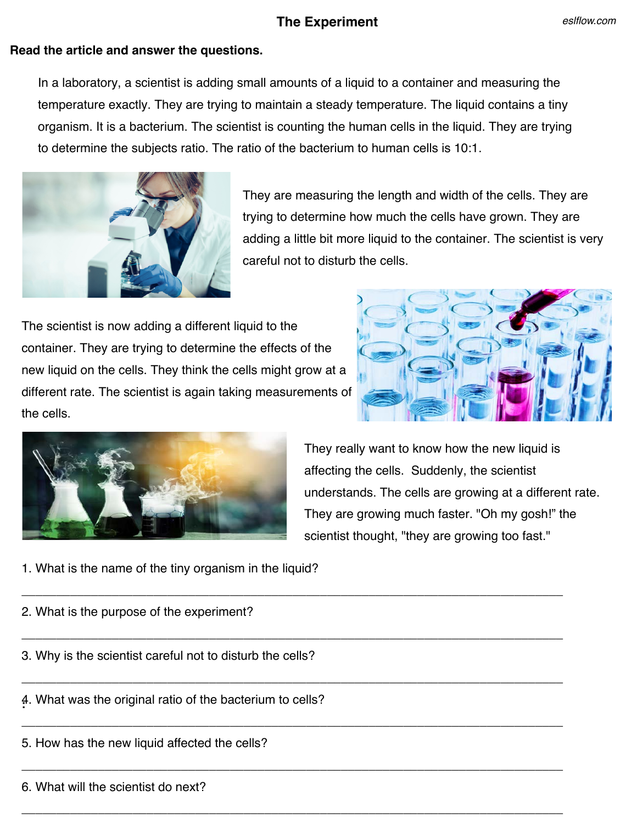## **The Experiment**

## **Read the article and answer the questions.**

In a laboratory, a scientist is adding small amounts of a liquid to a container and measuring the temperature exactly. They are trying to maintain a steady temperature. The liquid contains a tiny organism. It is a bacterium. The scientist is counting the human cells in the liquid. They are trying to determine the subjects ratio. The ratio of the bacterium to human cells is 10:1.

\_\_\_\_\_\_\_\_\_\_\_\_\_\_\_\_\_\_\_\_\_\_\_\_\_\_\_\_\_\_\_\_\_\_\_\_\_\_\_\_\_\_\_\_\_\_\_\_\_\_\_\_\_\_\_\_\_\_\_\_\_\_\_\_\_\_\_\_\_\_\_\_\_\_\_\_\_\_

\_\_\_\_\_\_\_\_\_\_\_\_\_\_\_\_\_\_\_\_\_\_\_\_\_\_\_\_\_\_\_\_\_\_\_\_\_\_\_\_\_\_\_\_\_\_\_\_\_\_\_\_\_\_\_\_\_\_\_\_\_\_\_\_\_\_\_\_\_\_\_\_\_\_\_\_\_\_

\_\_\_\_\_\_\_\_\_\_\_\_\_\_\_\_\_\_\_\_\_\_\_\_\_\_\_\_\_\_\_\_\_\_\_\_\_\_\_\_\_\_\_\_\_\_\_\_\_\_\_\_\_\_\_\_\_\_\_\_\_\_\_\_\_\_\_\_\_\_\_\_\_\_\_\_\_\_

\_\_\_\_\_\_\_\_\_\_\_\_\_\_\_\_\_\_\_\_\_\_\_\_\_\_\_\_\_\_\_\_\_\_\_\_\_\_\_\_\_\_\_\_\_\_\_\_\_\_\_\_\_\_\_\_\_\_\_\_\_\_\_\_\_\_\_\_\_\_\_\_\_\_\_\_\_\_

\_\_\_\_\_\_\_\_\_\_\_\_\_\_\_\_\_\_\_\_\_\_\_\_\_\_\_\_\_\_\_\_\_\_\_\_\_\_\_\_\_\_\_\_\_\_\_\_\_\_\_\_\_\_\_\_\_\_\_\_\_\_\_\_\_\_\_\_\_\_\_\_\_\_\_\_\_\_

\_\_\_\_\_\_\_\_\_\_\_\_\_\_\_\_\_\_\_\_\_\_\_\_\_\_\_\_\_\_\_\_\_\_\_\_\_\_\_\_\_\_\_\_\_\_\_\_\_\_\_\_\_\_\_\_\_\_\_\_\_\_\_\_\_\_\_\_\_\_\_\_\_\_\_\_\_\_



They are measuring the length and width of the cells. They are trying to determine how much the cells have grown. They are adding a little bit more liquid to the container. The scientist is very careful not to disturb the cells.

The scientist is now adding a different liquid to the container. They are trying to determine the effects of the new liquid on the cells. They think the cells might grow at a different rate. The scientist is again taking measurements of the cells.





They really want to know how the new liquid is affecting the cells. Suddenly, the scientist understands. The cells are growing at a different rate. They are growing much faster. "Oh my gosh!" the scientist thought, "they are growing too fast."

- 1. What is the name of the tiny organism in the liquid?
- 2. What is the purpose of the experiment?
- 3. Why is the scientist careful not to disturb the cells?
- **:** 4. What was the original ratio of the bacterium to cells?
- 5. How has the new liquid affected the cells?
- 6. What will the scientist do next?